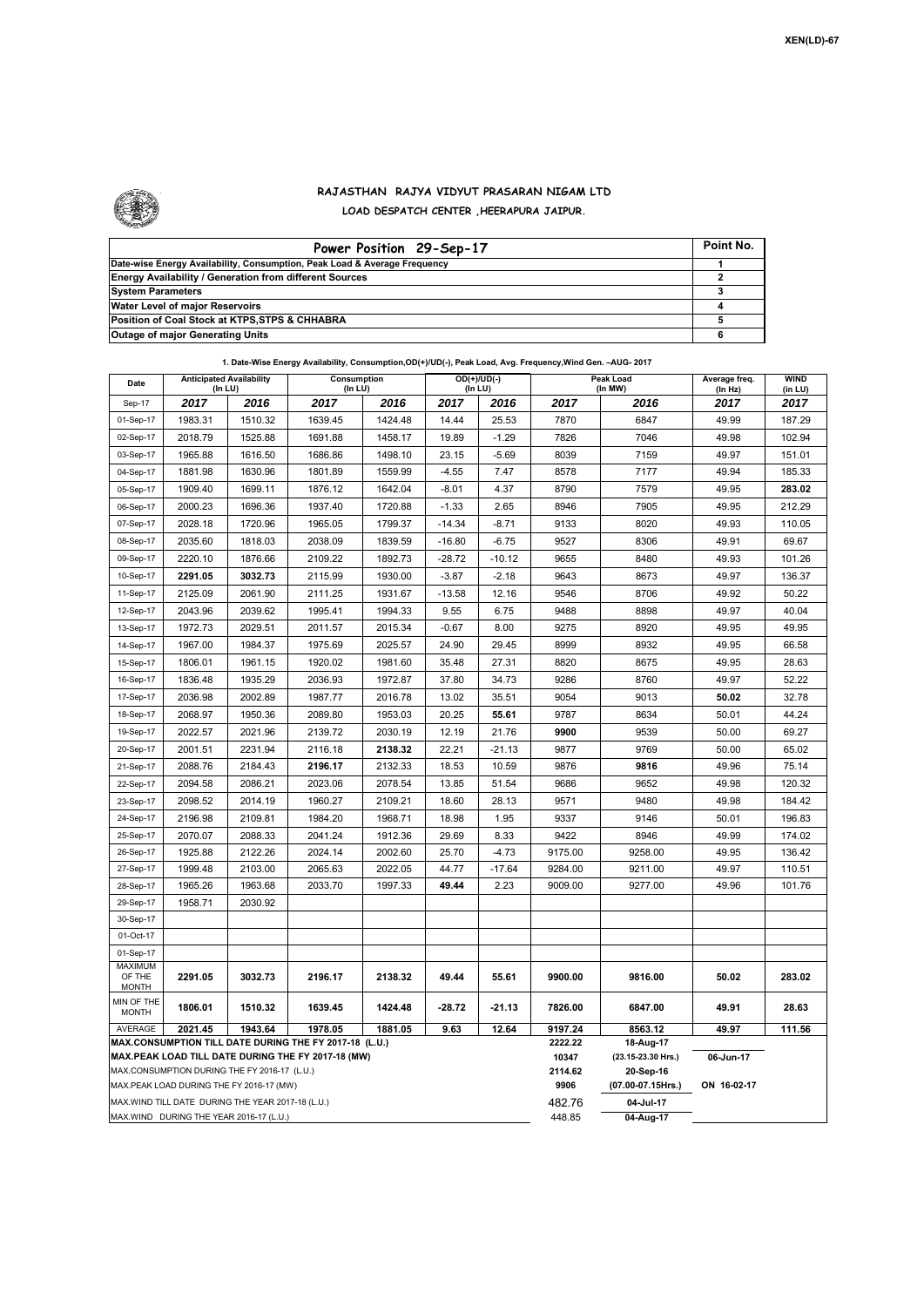

## **RAJASTHAN RAJYA VIDYUT PRASARAN NIGAM LTD LOAD DESPATCH CENTER ,HEERAPURA JAIPUR.**

| Power Position 29-Sep-17                                                  | Point No. |
|---------------------------------------------------------------------------|-----------|
| Date-wise Energy Availability, Consumption, Peak Load & Average Frequency |           |
| <b>Energy Availability / Generation from different Sources</b>            |           |
| <b>System Parameters</b>                                                  |           |
| Water Level of major Reservoirs                                           |           |
| Position of Coal Stock at KTPS, STPS & CHHABRA                            |           |
| <b>Outage of major Generating Units</b>                                   |           |

| 1. Date-Wise Energy Availability, Consumption, OD(+)/UD(-), Peak Load, Avg. Frequency, Wind Gen. - AUG- 2017<br>Average freq. |                                            |         |                              |         |          |                  |                                 |                      |             |                        |
|-------------------------------------------------------------------------------------------------------------------------------|--------------------------------------------|---------|------------------------------|---------|----------|------------------|---------------------------------|----------------------|-------------|------------------------|
| Date                                                                                                                          | <b>Anticipated Availability</b><br>(In LU) |         | Consumption<br>$($ In LU $)$ |         | (In LU)  | $OD(+)/UD(-)$    |                                 | Peak Load<br>(In MW) |             | <b>WIND</b><br>(in LU) |
| Sep-17                                                                                                                        | 2017                                       | 2016    | 2017                         | 2016    | 2017     | 2016             | 2017                            | 2016                 | 2017        | 2017                   |
| 01-Sep-17                                                                                                                     | 1983.31                                    | 1510.32 | 1639.45                      | 1424.48 | 14.44    | 25.53            | 7870                            | 6847                 | 49.99       | 187.29                 |
| 02-Sep-17                                                                                                                     | 2018.79                                    | 1525.88 | 1691.88                      | 1458.17 | 19.89    | $-1.29$          | 7826                            | 7046                 | 49.98       | 102.94                 |
| 03-Sep-17                                                                                                                     | 1965.88                                    | 1616.50 | 1686.86                      | 1498.10 | 23.15    | $-5.69$          | 8039                            | 7159                 | 49.97       | 151.01                 |
| 04-Sep-17                                                                                                                     | 1881.98                                    | 1630.96 | 1801.89                      | 1559.99 | $-4.55$  | 7.47             | 8578                            | 7177                 | 49.94       | 185.33                 |
| 05-Sep-17                                                                                                                     | 1909.40                                    | 1699.11 | 1876.12                      | 1642.04 | $-8.01$  | 4.37             | 8790                            | 7579                 | 49.95       | 283.02                 |
| 06-Sep-17                                                                                                                     | 2000.23                                    | 1696.36 | 1937.40                      | 1720.88 | $-1.33$  | 2.65             | 8946                            | 7905                 | 49.95       | 212.29                 |
| 07-Sep-17                                                                                                                     | 2028.18                                    | 1720.96 | 1965.05                      | 1799.37 | $-14.34$ | $-8.71$          | 9133                            | 8020                 | 49.93       | 110.05                 |
| 08-Sep-17                                                                                                                     | 2035.60                                    | 1818.03 | 2038.09                      | 1839.59 | $-16.80$ | $-6.75$          | 9527                            | 8306                 | 49.91       | 69.67                  |
| 09-Sep-17                                                                                                                     | 2220.10                                    | 1876.66 | 2109.22                      | 1892.73 | $-28.72$ | $-10.12$         | 9655                            | 8480                 | 49.93       | 101.26                 |
| 10-Sep-17                                                                                                                     | 2291.05                                    | 3032.73 | 2115.99                      | 1930.00 | $-3.87$  | $-2.18$          | 9643                            | 8673                 | 49.97       | 136.37                 |
| 11-Sep-17                                                                                                                     | 2125.09                                    | 2061.90 | 2111.25                      | 1931.67 | $-13.58$ | 12.16            | 9546                            | 8706                 | 49.92       | 50.22                  |
| 12-Sep-17                                                                                                                     | 2043.96                                    | 2039.62 | 1995.41                      | 1994.33 | 9.55     | 6.75             | 9488                            | 8898                 | 49.97       | 40.04                  |
| 13-Sep-17                                                                                                                     | 1972.73                                    | 2029.51 | 2011.57                      | 2015.34 | $-0.67$  | 8.00             | 9275                            | 8920                 | 49.95       | 49.95                  |
| 14-Sep-17                                                                                                                     | 1967.00                                    | 1984.37 | 1975.69                      | 2025.57 | 24.90    | 29.45            | 8999                            | 8932                 | 49.95       | 66.58                  |
| 15-Sep-17                                                                                                                     | 1806.01                                    | 1961.15 | 1920.02                      | 1981.60 | 35.48    | 27.31            | 8820                            | 8675                 | 49.95       | 28.63                  |
| 16-Sep-17                                                                                                                     | 1836.48                                    | 1935.29 | 2036.93                      | 1972.87 | 37.80    | 34.73            | 9286                            | 8760                 | 49.97       | 52.22                  |
| 17-Sep-17                                                                                                                     | 2036.98                                    | 2002.89 | 1987.77                      | 2016.78 | 13.02    | 35.51            | 9054                            | 9013                 | 50.02       | 32.78                  |
| 18-Sep-17                                                                                                                     | 2068.97                                    | 1950.36 | 2089.80                      | 1953.03 | 20.25    | 55.61            | 9787                            | 8634                 | 50.01       | 44.24                  |
| 19-Sep-17                                                                                                                     | 2022.57                                    | 2021.96 | 2139.72                      | 2030.19 | 12.19    | 21.76            | 9900                            | 9539                 | 50.00       | 69.27                  |
| 20-Sep-17                                                                                                                     | 2001.51                                    | 2231.94 | 2116.18                      | 2138.32 | 22.21    | $-21.13$         | 9877                            | 9769                 | 50.00       | 65.02                  |
| 21-Sep-17                                                                                                                     | 2088.76                                    | 2184.43 | 2196.17                      | 2132.33 | 18.53    | 10.59            | 9876                            | 9816                 | 49.96       | 75.14                  |
| 22-Sep-17                                                                                                                     | 2094.58                                    | 2086.21 | 2023.06                      | 2078.54 | 13.85    | 51.54            | 9686                            | 9652                 | 49.98       | 120.32                 |
| 23-Sep-17                                                                                                                     | 2098.52                                    | 2014.19 | 1960.27                      | 2109.21 | 18.60    | 28.13            | 9571                            | 9480                 | 49.98       | 184.42                 |
| 24-Sep-17                                                                                                                     | 2196.98                                    | 2109.81 | 1984.20                      | 1968.71 | 18.98    | 1.95             | 9337                            | 9146                 | 50.01       | 196.83                 |
| 25-Sep-17                                                                                                                     | 2070.07                                    | 2088.33 | 2041.24                      | 1912.36 | 29.69    | 8.33             | 9422                            | 8946                 | 49.99       | 174.02                 |
| 26-Sep-17                                                                                                                     | 1925.88                                    | 2122.26 | 2024.14                      | 2002.60 | 25.70    | $-4.73$          | 9175.00                         | 9258.00              | 49.95       | 136.42                 |
| 27-Sep-17                                                                                                                     | 1999.48                                    | 2103.00 | 2065.63                      | 2022.05 | 44.77    | $-17.64$         | 9284.00                         | 9211.00              | 49.97       | 110.51                 |
| 28-Sep-17                                                                                                                     | 1965.26                                    | 1963.68 | 2033.70                      | 1997.33 | 49.44    | 2.23             | 9009.00                         | 9277.00              | 49.96       | 101.76                 |
| 29-Sep-17                                                                                                                     | 1958.71                                    | 2030.92 |                              |         |          |                  |                                 |                      |             |                        |
| 30-Sep-17                                                                                                                     |                                            |         |                              |         |          |                  |                                 |                      |             |                        |
| 01-Oct-17                                                                                                                     |                                            |         |                              |         |          |                  |                                 |                      |             |                        |
| 01-Sep-17                                                                                                                     |                                            |         |                              |         |          |                  |                                 |                      |             |                        |
| <b>MAXIMUM</b><br>OF THE<br><b>MONTH</b>                                                                                      | 2291.05                                    | 3032.73 | 2196.17                      | 2138.32 | 49.44    | 55.61            | 9900.00                         | 9816.00              | 50.02       | 283.02                 |
| MIN OF THE<br><b>MONTH</b>                                                                                                    | 1806.01                                    | 1510.32 | 1639.45                      | 1424.48 | $-28.72$ | $-21.13$         | 7826.00                         | 6847.00              | 49.91       | 28.63                  |
| AVERAGE                                                                                                                       | 2021.45                                    | 1943.64 | 1978.05                      | 1881.05 | 9.63     | 12.64            | 9197.24                         | 8563.12              | 49.97       | 111.56                 |
| MAX.CONSUMPTION TILL DATE DURING THE FY 2017-18 (L.U.)                                                                        |                                            |         |                              |         |          | 2222.22          | 18-Aug-17                       |                      |             |                        |
| MAX.PEAK LOAD TILL DATE DURING THE FY 2017-18 (MW)<br>MAX.CONSUMPTION DURING THE FY 2016-17 (L.U.)                            |                                            |         |                              |         |          | 10347<br>2114.62 | (23.15-23.30 Hrs.)<br>20-Sep-16 | 06-Jun-17            |             |                        |
| MAX.PEAK LOAD DURING THE FY 2016-17 (MW)                                                                                      |                                            |         |                              |         |          |                  | 9906                            | (07.00-07.15Hrs.)    | ON 16-02-17 |                        |
| MAX. WIND TILL DATE DURING THE YEAR 2017-18 (L.U.)                                                                            |                                            |         |                              |         |          |                  | 482.76                          | 04-Jul-17            |             |                        |
| MAX.WIND DURING THE YEAR 2016-17 (L.U.)                                                                                       |                                            |         |                              |         |          |                  | 448.85                          | 04-Aug-17            |             |                        |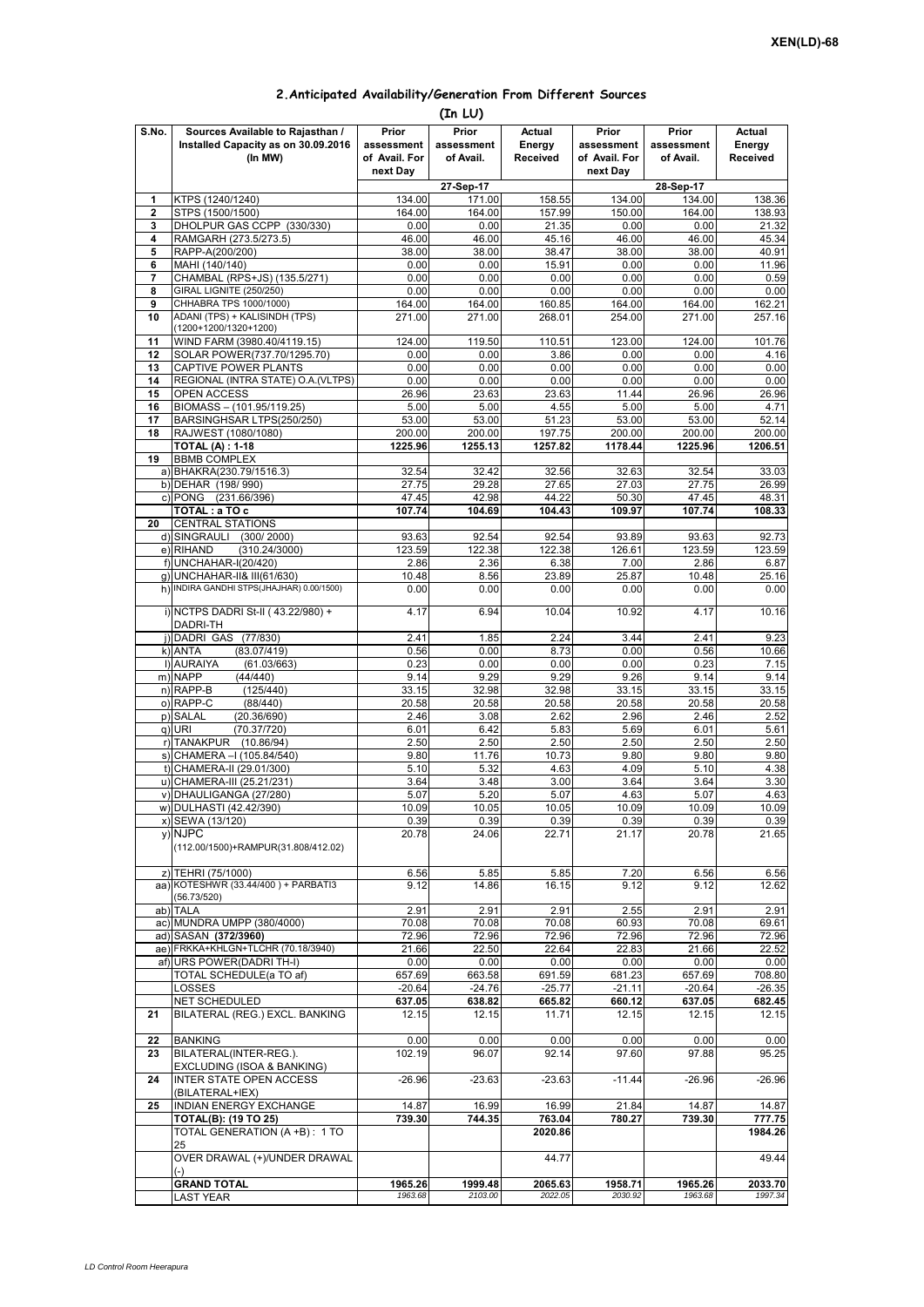## **2.Anticipated Availability/Generation From Different Sources (In LU)**

|                         |                                                                                    |                                                  | 、-… -- <i>,</i>                  |                              |                                      |                                  |                                     |  |
|-------------------------|------------------------------------------------------------------------------------|--------------------------------------------------|----------------------------------|------------------------------|--------------------------------------|----------------------------------|-------------------------------------|--|
| S.No.                   | Sources Available to Rajasthan /<br>Installed Capacity as on 30.09.2016<br>(In MW) | Prior<br>assessment<br>of Avail. For<br>next Day | Prior<br>assessment<br>of Avail. | Actual<br>Energy<br>Received | Prior<br>assessment<br>of Avail. For | Prior<br>assessment<br>of Avail. | Actual<br>Energy<br><b>Received</b> |  |
|                         |                                                                                    |                                                  |                                  |                              | next Day<br>28-Sep-17                |                                  |                                     |  |
| 1                       | KTPS (1240/1240)                                                                   | 134.00                                           | 27-Sep-17<br>171.00              | 158.55                       | 134.00                               | 134.00                           | 138.36                              |  |
| $\overline{\mathbf{2}}$ | STPS (1500/1500)                                                                   | 164.00                                           | 164.00                           | 157.99                       | 150.00                               | 164.00                           | 138.93                              |  |
| 3                       | DHOLPUR GAS CCPP (330/330)                                                         | 0.00                                             | 0.00                             | 21.35                        | 0.00                                 | 0.00                             | 21.32                               |  |
| 4                       | RAMGARH (273.5/273.5)                                                              | 46.00                                            | 46.00                            | 45.16                        | 46.00                                | 46.00                            | 45.34                               |  |
| 5                       | RAPP-A(200/200)                                                                    | 38.00                                            | 38.00                            | 38.47                        | 38.00                                | 38.00                            | 40.91                               |  |
| 6                       | MAHI (140/140)                                                                     | 0.00                                             | 0.00                             | 15.91                        | 0.00                                 | 0.00                             | 11.96                               |  |
| 7                       | CHAMBAL (RPS+JS) (135.5/271)                                                       | 0.00                                             | 0.00                             | 0.00                         | 0.00                                 | 0.00                             | 0.59                                |  |
| 8                       | <b>GIRAL LIGNITE (250/250)</b>                                                     | 0.00                                             | 0.00                             | 0.00                         | 0.00                                 | 0.00                             | 0.00                                |  |
| 9                       | CHHABRA TPS 1000/1000)                                                             | 164.00                                           | 164.00                           | 160.85                       | 164.00                               | 164.00                           | 162.21                              |  |
| 10                      | ADANI (TPS) + KALISINDH (TPS)                                                      | 271.00                                           | 271.00                           | 268.01                       | 254.00                               | 271.00                           | 257.16                              |  |
|                         | (1200+1200/1320+1200)                                                              |                                                  |                                  |                              |                                      |                                  |                                     |  |
| 11                      | WIND FARM (3980.40/4119.15)                                                        | 124.00                                           | 119.50                           | 110.51                       | 123.00                               | 124.00                           | 101.76                              |  |
| 12                      | SOLAR POWER(737.70/1295.70)                                                        | 0.00                                             | 0.00                             | 3.86                         | 0.00                                 | 0.00                             | 4.16                                |  |
| 13                      | CAPTIVE POWER PLANTS                                                               | 0.00                                             | 0.00                             | 0.00                         | 0.00                                 | 0.00                             | 0.00                                |  |
| 14                      | REGIONAL (INTRA STATE) O.A. (VLTPS)                                                | 0.00                                             | 0.00                             | 0.00                         | 0.00                                 | 0.00                             | 0.00                                |  |
| 15                      | OPEN ACCESS                                                                        | 26.96                                            | 23.63                            | 23.63                        | 11.44                                | 26.96                            | 26.96                               |  |
| 16                      | BIOMASS - (101.95/119.25)                                                          | 5.00                                             | 5.00                             | 4.55                         | 5.00<br>53.00                        | 5.00                             | 4.71<br>52.14                       |  |
| 17<br>18                | BARSINGHSAR LTPS(250/250)<br>RAJWEST (1080/1080)                                   | 53.00<br>200.00                                  | 53.00<br>200.00                  | 51.23<br>197.75              | 200.00                               | 53.00<br>200.00                  | 200.00                              |  |
|                         | <b>TOTAL (A): 1-18</b>                                                             | 1225.96                                          | 1255.13                          | 1257.82                      | 1178.44                              | 1225.96                          | 1206.51                             |  |
| 19                      | <b>BBMB COMPLEX</b>                                                                |                                                  |                                  |                              |                                      |                                  |                                     |  |
|                         | a) BHAKRA(230.79/1516.3)                                                           | 32.54                                            | 32.42                            | 32.56                        | 32.63                                | 32.54                            | 33.03                               |  |
|                         | b) DEHAR (198/990)                                                                 | 27.75                                            | 29.28                            | 27.65                        | 27.03                                | 27.75                            | 26.99                               |  |
|                         | c) PONG (231.66/396)                                                               | 47.45                                            | 42.98                            | 44.22                        | 50.30                                | 47.45                            | 48.31                               |  |
|                         | TOTAL: a TO c                                                                      | 107.74                                           | 104.69                           | 104.43                       | 109.97                               | 107.74                           | 108.33                              |  |
| 20                      | <b>CENTRAL STATIONS</b>                                                            |                                                  |                                  |                              |                                      |                                  |                                     |  |
|                         | d) SINGRAULI<br>(300/2000)                                                         | 93.63                                            | 92.54                            | 92.54                        | 93.89                                | 93.63                            | 92.73                               |  |
|                         | e) RIHAND<br>(310.24/3000)                                                         | 123.59                                           | 122.38                           | 122.38                       | 126.61                               | 123.59                           | 123.59                              |  |
|                         | f) UNCHAHAR-I(20/420)                                                              | 2.86                                             | 2.36                             | 6.38                         | 7.00                                 | 2.86                             | 6.87                                |  |
|                         | g) UNCHAHAR-II& III(61/630)                                                        | 10.48                                            | 8.56                             | 23.89                        | 25.87                                | 10.48                            | 25.16                               |  |
|                         | h) INDIRA GANDHI STPS(JHAJHAR) 0.00/1500)                                          | 0.00                                             | 0.00                             | 0.00                         | 0.00                                 | 0.00                             | 0.00                                |  |
|                         |                                                                                    |                                                  |                                  |                              |                                      |                                  |                                     |  |
|                         | i) NCTPS DADRI St-II (43.22/980) +                                                 | 4.17                                             | 6.94                             | 10.04                        | 10.92                                | 4.17                             | 10.16                               |  |
|                         | <b>DADRI-TH</b>                                                                    |                                                  |                                  |                              |                                      |                                  |                                     |  |
|                         | j) DADRI GAS (77/830)                                                              | 2.41                                             | 1.85                             | 2.24                         | 3.44                                 | 2.41                             | 9.23                                |  |
|                         | k) ANTA<br>(83.07/419)                                                             | 0.56                                             | 0.00                             | 8.73                         | 0.00                                 | 0.56                             | 10.66                               |  |
|                         | I) AURAIYA<br>(61.03/663)                                                          | 0.23                                             | 0.00                             | 0.00                         | 0.00                                 | 0.23                             | 7.15                                |  |
|                         | m) NAPP<br>(44/440)                                                                | 9.14                                             | 9.29                             | 9.29                         | 9.26                                 | 9.14                             | 9.14                                |  |
|                         | n) RAPP-B<br>(125/440)                                                             | 33.15                                            | 32.98                            | 32.98                        | 33.15                                | 33.15                            | 33.15                               |  |
|                         | o) RAPP-C<br>(88/440)                                                              | 20.58                                            | 20.58                            | 20.58                        | 20.58                                | 20.58                            | 20.58                               |  |
|                         | p) SALAL<br>(20.36/690)                                                            | 2.46                                             | 3.08                             | 2.62                         | 2.96                                 | 2.46                             | 2.52                                |  |
|                         | q) URI<br>(70.37/720)                                                              | 6.01                                             | 6.42                             | 5.83                         | 5.69                                 | 6.01                             | 5.61                                |  |
|                         | r) TANAKPUR (10.86/94)<br>s) CHAMERA - (105.84/540)                                | 2.50<br>9.80                                     | 2.50<br>11.76                    | 2.50<br>10.73                | 2.50                                 | 2.50<br>9.80                     | 2.50<br>9.80                        |  |
|                         |                                                                                    | 5.10                                             | 5.32                             | 4.63                         | 9.80<br>4.09                         | 5.10                             | 4.38                                |  |
|                         | t) CHAMERA-II (29.01/300)<br>u) CHAMERA-III (25.21/231)                            | 3.64                                             | 3.48                             | 3.00                         | 3.64                                 | 3.64                             | 3.30                                |  |
|                         | v) DHAULIGANGA (27/280)                                                            | 5.07                                             | 5.20                             | 5.07                         | 4.63                                 | 5.07                             | 4.63                                |  |
|                         | w) DULHASTI (42.42/390)                                                            | 10.09                                            | 10.05                            | 10.05                        | 10.09                                | 10.09                            | 10.09                               |  |
|                         | x) SEWA (13/120)                                                                   | 0.39                                             | 0.39                             | 0.39                         | 0.39                                 | 0.39                             | 0.39                                |  |
|                         | y) NJPC                                                                            | 20.78                                            | 24.06                            | 22.71                        | 21.17                                | 20.78                            | 21.65                               |  |
|                         | (112.00/1500)+RAMPUR(31.808/412.02)                                                |                                                  |                                  |                              |                                      |                                  |                                     |  |
|                         |                                                                                    |                                                  |                                  |                              |                                      |                                  |                                     |  |
|                         | z) TEHRI (75/1000)                                                                 | 6.56                                             | 5.85                             | 5.85                         | 7.20                                 | 6.56                             | 6.56                                |  |
|                         | aa) KOTESHWR (33.44/400) + PARBATI3                                                | 9.12                                             | 14.86                            | 16.15                        | 9.12                                 | 9.12                             | 12.62                               |  |
|                         | (56.73/520)                                                                        |                                                  |                                  |                              |                                      |                                  |                                     |  |
|                         | ab) TALA                                                                           | 2.91                                             | 2.91                             | 2.91                         | 2.55                                 | 2.91                             | 2.91                                |  |
|                         | ac) MUNDRA UMPP (380/4000)                                                         | 70.08                                            | 70.08                            | 70.08                        | 60.93                                | 70.08                            | 69.61                               |  |
|                         | ad) SASAN (372/3960)                                                               | 72.96                                            | 72.96                            | 72.96                        | 72.96                                | 72.96                            | 72.96                               |  |
|                         | ae) FRKKA+KHLGN+TLCHR (70.18/3940)                                                 | 21.66                                            | 22.50                            | 22.64                        | 22.83                                | 21.66                            | 22.52                               |  |
|                         | af) URS POWER(DADRI TH-I)                                                          | 0.00                                             | 0.00                             | 0.00                         | 0.00                                 | 0.00                             | 0.00                                |  |
|                         | TOTAL SCHEDULE(a TO af)                                                            | 657.69                                           | 663.58                           | 691.59                       | 681.23                               | 657.69                           | 708.80                              |  |
|                         | <b>LOSSES</b>                                                                      | $-20.64$                                         | $-24.76$                         | $-25.77$                     | $-21.11$                             | $-20.64$                         | $-26.35$                            |  |
|                         | NET SCHEDULED                                                                      | 637.05                                           | 638.82                           | 665.82                       | 660.12                               | 637.05                           | 682.45                              |  |
| 21                      | BILATERAL (REG.) EXCL. BANKING                                                     | 12.15                                            | 12.15                            | 11.71                        | 12.15                                | 12.15                            | 12.15                               |  |
|                         |                                                                                    |                                                  |                                  |                              |                                      |                                  |                                     |  |
| 22                      | <b>BANKING</b><br>BILATERAL(INTER-REG.).                                           | 0.00                                             | 0.00                             | 0.00                         | 0.00                                 | 0.00                             | 0.00                                |  |
| 23                      |                                                                                    | 102.19                                           | 96.07                            | 92.14                        | 97.60                                | 97.88                            | 95.25                               |  |
| 24                      | EXCLUDING (ISOA & BANKING)<br><b>INTER STATE OPEN ACCESS</b>                       | $-26.96$                                         | $-23.63$                         | $-23.63$                     | $-11.44$                             | $-26.96$                         | $-26.96$                            |  |
|                         | (BILATERAL+IEX)                                                                    |                                                  |                                  |                              |                                      |                                  |                                     |  |
| 25                      | <b>INDIAN ENERGY EXCHANGE</b>                                                      | 14.87                                            | 16.99                            | 16.99                        | 21.84                                | 14.87                            | 14.87                               |  |
|                         | TOTAL(B): (19 TO 25)                                                               | 739.30                                           | 744.35                           | 763.04                       | 780.27                               | 739.30                           | 777.75                              |  |
|                         | TOTAL GENERATION (A +B): 1 TO                                                      |                                                  |                                  | 2020.86                      |                                      |                                  | 1984.26                             |  |
|                         | 25                                                                                 |                                                  |                                  |                              |                                      |                                  |                                     |  |
|                         | OVER DRAWAL (+)/UNDER DRAWAL                                                       |                                                  |                                  | 44.77                        |                                      |                                  | 49.44                               |  |
|                         |                                                                                    |                                                  |                                  |                              |                                      |                                  |                                     |  |
|                         | <b>GRAND TOTAL</b>                                                                 | 1965.26                                          | 1999.48                          | 2065.63                      | 1958.71                              | 1965.26                          | 2033.70                             |  |
|                         | LAST YEAR                                                                          | 1963.68                                          | 2103.00                          | 2022.05                      | 2030.92                              | 1963.68                          | 1997.34                             |  |